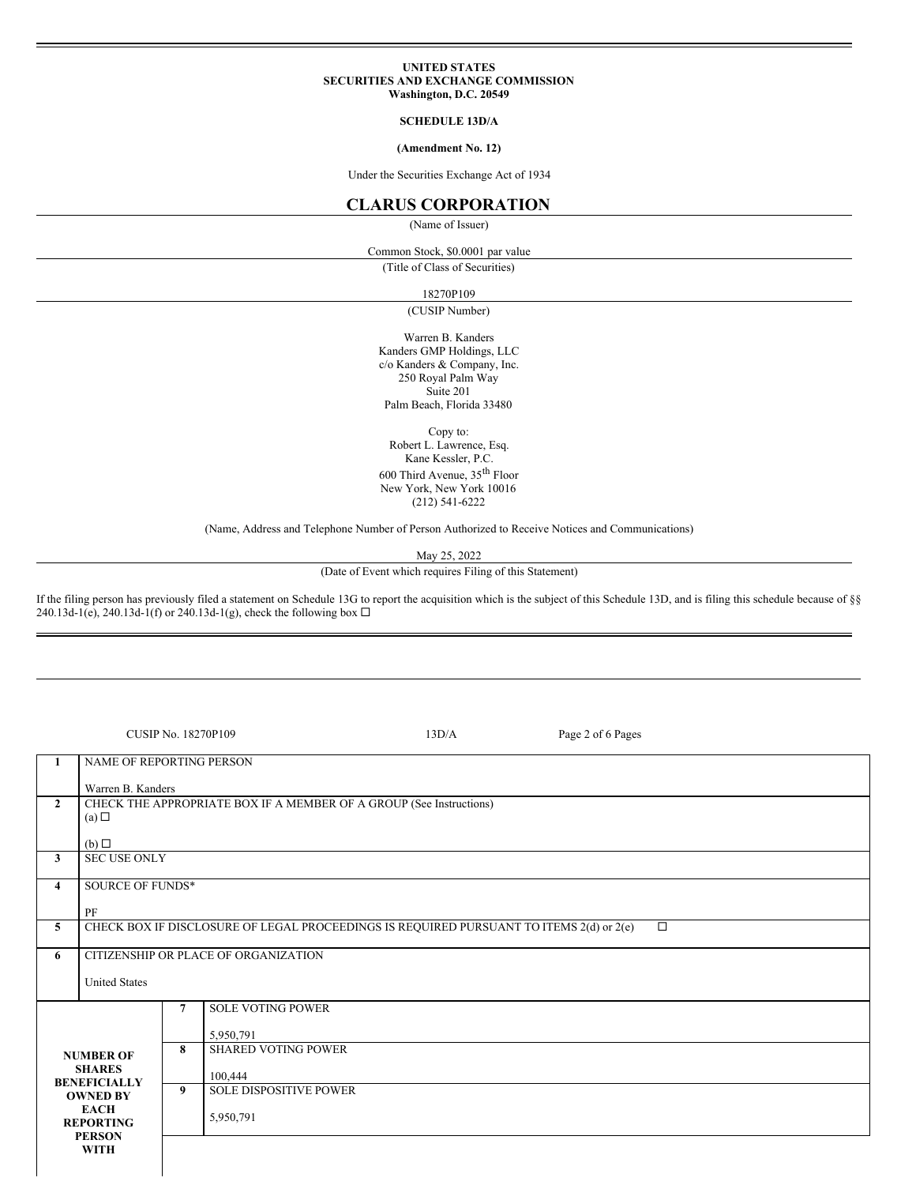### **UNITED STATES SECURITIES AND EXCHANGE COMMISSION Washington, D.C. 20549**

## **SCHEDULE 13D/A**

### **(Amendment No. 12)**

Under the Securities Exchange Act of 1934

# **CLARUS CORPORATION**

(Name of Issuer)

Common Stock, \$0.0001 par value

(Title of Class of Securities)

18270P109

(CUSIP Number)

Warren B. Kanders Kanders GMP Holdings, LLC c/o Kanders & Company, Inc. 250 Royal Palm Way Suite 201 Palm Beach, Florida 33480

Copy to:

Robert L. Lawrence, Esq. Kane Kessler, P.C. 600 Third Avenue, 35 th Floor New York, New York 10016 (212) 541-6222

(Name, Address and Telephone Number of Person Authorized to Receive Notices and Communications)

May 25, 2022

(Date of Event which requires Filing of this Statement)

If the filing person has previously filed a statement on Schedule 13G to report the acquisition which is the subject of this Schedule 13D, and is filing this schedule because of §§ 240.13d-1(e), 240.13d-1(f) or 240.13d-1(g), check the following box  $\Box$ 

| <b>CUSIP No. 18270P109</b>                                                         |                                                                                                         |                                      |                                          | 13D/A | Page 2 of 6 Pages |  |  |  |  |
|------------------------------------------------------------------------------------|---------------------------------------------------------------------------------------------------------|--------------------------------------|------------------------------------------|-------|-------------------|--|--|--|--|
| 1                                                                                  | <b>NAME OF REPORTING PERSON</b>                                                                         |                                      |                                          |       |                   |  |  |  |  |
|                                                                                    | Warren B. Kanders                                                                                       |                                      |                                          |       |                   |  |  |  |  |
| $\mathbf{2}$                                                                       | CHECK THE APPROPRIATE BOX IF A MEMBER OF A GROUP (See Instructions)                                     |                                      |                                          |       |                   |  |  |  |  |
|                                                                                    | (a)                                                                                                     |                                      |                                          |       |                   |  |  |  |  |
|                                                                                    |                                                                                                         |                                      |                                          |       |                   |  |  |  |  |
| <b>SEC USE ONLY</b><br>$\mathbf{3}$                                                |                                                                                                         |                                      |                                          |       |                   |  |  |  |  |
| 4                                                                                  |                                                                                                         | <b>SOURCE OF FUNDS*</b>              |                                          |       |                   |  |  |  |  |
|                                                                                    |                                                                                                         |                                      |                                          |       |                   |  |  |  |  |
| 5                                                                                  | PF<br>CHECK BOX IF DISCLOSURE OF LEGAL PROCEEDINGS IS REQUIRED PURSUANT TO ITEMS 2(d) or 2(e)<br>$\Box$ |                                      |                                          |       |                   |  |  |  |  |
|                                                                                    |                                                                                                         |                                      |                                          |       |                   |  |  |  |  |
| 6                                                                                  |                                                                                                         | CITIZENSHIP OR PLACE OF ORGANIZATION |                                          |       |                   |  |  |  |  |
|                                                                                    | <b>United States</b>                                                                                    |                                      |                                          |       |                   |  |  |  |  |
|                                                                                    |                                                                                                         |                                      | <b>SOLE VOTING POWER</b>                 |       |                   |  |  |  |  |
|                                                                                    |                                                                                                         |                                      | 5,950,791                                |       |                   |  |  |  |  |
|                                                                                    |                                                                                                         |                                      | <b>SHARED VOTING POWER</b>               |       |                   |  |  |  |  |
| <b>NUMBER OF</b><br><b>SHARES</b>                                                  |                                                                                                         |                                      |                                          |       |                   |  |  |  |  |
|                                                                                    | <b>BENEFICIALLY</b>                                                                                     |                                      | 100,444<br><b>SOLE DISPOSITIVE POWER</b> |       |                   |  |  |  |  |
| <b>OWNED BY</b><br><b>EACH</b><br><b>REPORTING</b><br><b>PERSON</b><br><b>WITH</b> |                                                                                                         | 9                                    |                                          |       |                   |  |  |  |  |
|                                                                                    |                                                                                                         |                                      | 5,950,791                                |       |                   |  |  |  |  |
|                                                                                    |                                                                                                         |                                      |                                          |       |                   |  |  |  |  |
|                                                                                    |                                                                                                         |                                      |                                          |       |                   |  |  |  |  |
|                                                                                    |                                                                                                         |                                      |                                          |       |                   |  |  |  |  |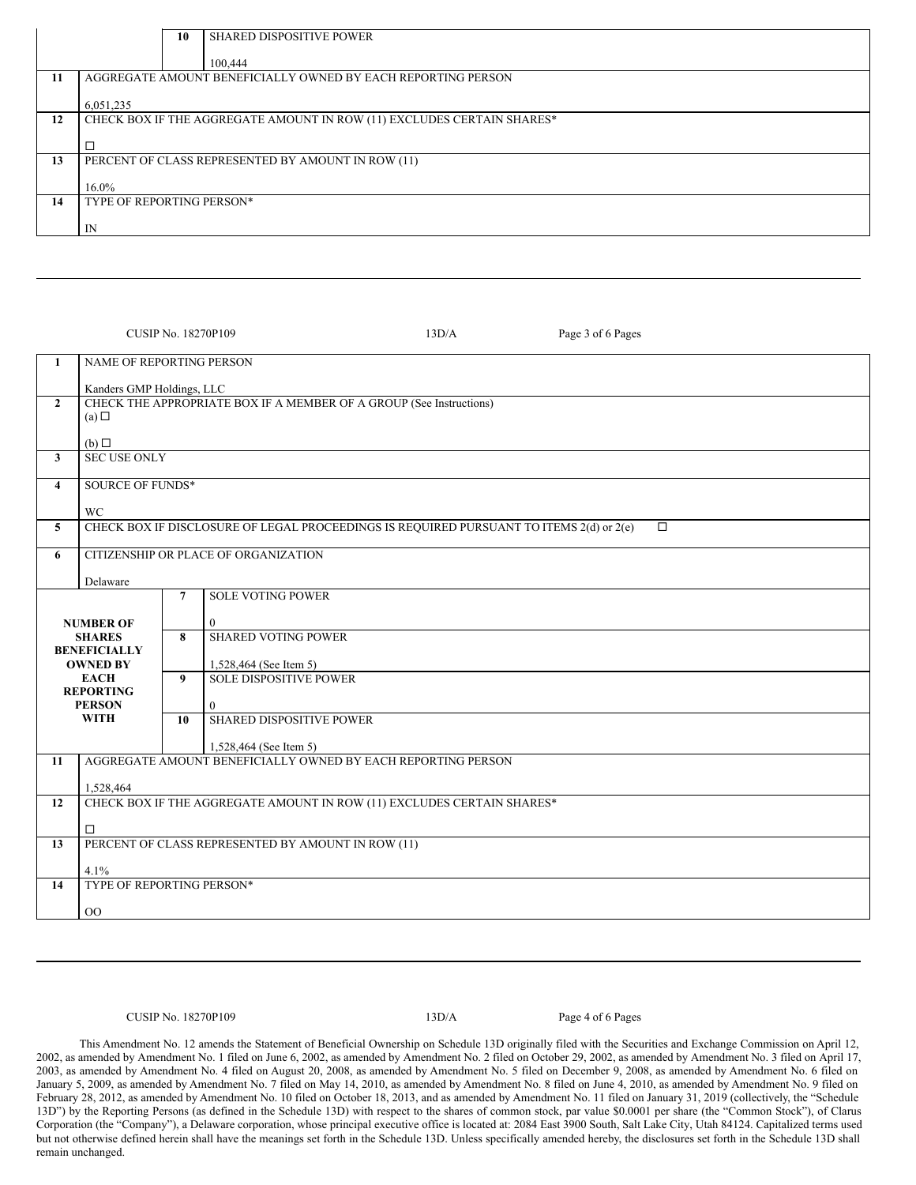| <b>SHARED DISPOSITIVE POWER</b><br>10                                  |  |  |  |  |  |
|------------------------------------------------------------------------|--|--|--|--|--|
| 100,444                                                                |  |  |  |  |  |
| AGGREGATE AMOUNT BENEFICIALLY OWNED BY EACH REPORTING PERSON           |  |  |  |  |  |
|                                                                        |  |  |  |  |  |
| 6,051,235                                                              |  |  |  |  |  |
| CHECK BOX IF THE AGGREGATE AMOUNT IN ROW (11) EXCLUDES CERTAIN SHARES* |  |  |  |  |  |
| ⊏                                                                      |  |  |  |  |  |
| PERCENT OF CLASS REPRESENTED BY AMOUNT IN ROW (11)                     |  |  |  |  |  |
|                                                                        |  |  |  |  |  |
| $16.0\%$                                                               |  |  |  |  |  |
| TYPE OF REPORTING PERSON*                                              |  |  |  |  |  |
|                                                                        |  |  |  |  |  |
| IN                                                                     |  |  |  |  |  |
|                                                                        |  |  |  |  |  |

|                                 |                                                                                                   |                | CUSIP No. 18270P109<br>13D/A<br>Page 3 of 6 Pages                                      |  |  |  |  |  |  |  |
|---------------------------------|---------------------------------------------------------------------------------------------------|----------------|----------------------------------------------------------------------------------------|--|--|--|--|--|--|--|
| $\mathbf{1}$                    | <b>NAME OF REPORTING PERSON</b>                                                                   |                |                                                                                        |  |  |  |  |  |  |  |
|                                 | Kanders GMP Holdings, LLC                                                                         |                |                                                                                        |  |  |  |  |  |  |  |
| $\overline{2}$                  | CHECK THE APPROPRIATE BOX IF A MEMBER OF A GROUP (See Instructions)                               |                |                                                                                        |  |  |  |  |  |  |  |
|                                 | (a)                                                                                               |                |                                                                                        |  |  |  |  |  |  |  |
| $\mathbf{3}$                    | (b)                                                                                               |                |                                                                                        |  |  |  |  |  |  |  |
|                                 | <b>SEC USE ONLY</b>                                                                               |                |                                                                                        |  |  |  |  |  |  |  |
| $\overline{4}$                  | <b>SOURCE OF FUNDS*</b>                                                                           |                |                                                                                        |  |  |  |  |  |  |  |
|                                 | <b>WC</b>                                                                                         |                |                                                                                        |  |  |  |  |  |  |  |
| 5                               | CHECK BOX IF DISCLOSURE OF LEGAL PROCEEDINGS IS REQUIRED PURSUANT TO ITEMS 2(d) or 2(e)<br>$\Box$ |                |                                                                                        |  |  |  |  |  |  |  |
| 6                               |                                                                                                   |                | CITIZENSHIP OR PLACE OF ORGANIZATION                                                   |  |  |  |  |  |  |  |
|                                 | Delaware                                                                                          |                |                                                                                        |  |  |  |  |  |  |  |
|                                 |                                                                                                   | $\overline{7}$ | <b>SOLE VOTING POWER</b>                                                               |  |  |  |  |  |  |  |
|                                 | <b>NUMBER OF</b>                                                                                  |                | $\mathbf{0}$                                                                           |  |  |  |  |  |  |  |
|                                 | <b>SHARES</b>                                                                                     | 8              | <b>SHARED VOTING POWER</b>                                                             |  |  |  |  |  |  |  |
|                                 | <b>BENEFICIALLY</b><br><b>OWNED BY</b>                                                            |                | 1,528,464 (See Item 5)                                                                 |  |  |  |  |  |  |  |
|                                 | <b>EACH</b>                                                                                       | 9              | <b>SOLE DISPOSITIVE POWER</b>                                                          |  |  |  |  |  |  |  |
|                                 | <b>REPORTING</b><br><b>PERSON</b><br><b>WITH</b>                                                  |                |                                                                                        |  |  |  |  |  |  |  |
|                                 |                                                                                                   |                | $\Omega$<br>SHARED DISPOSITIVE POWER                                                   |  |  |  |  |  |  |  |
|                                 |                                                                                                   |                |                                                                                        |  |  |  |  |  |  |  |
| 11                              |                                                                                                   |                | 1,528,464 (See Item 5)<br>AGGREGATE AMOUNT BENEFICIALLY OWNED BY EACH REPORTING PERSON |  |  |  |  |  |  |  |
|                                 |                                                                                                   |                |                                                                                        |  |  |  |  |  |  |  |
|                                 | 1,528,464                                                                                         |                |                                                                                        |  |  |  |  |  |  |  |
| 12                              | CHECK BOX IF THE AGGREGATE AMOUNT IN ROW (11) EXCLUDES CERTAIN SHARES*                            |                |                                                                                        |  |  |  |  |  |  |  |
|                                 | $\Box$                                                                                            |                |                                                                                        |  |  |  |  |  |  |  |
| 13                              |                                                                                                   |                | PERCENT OF CLASS REPRESENTED BY AMOUNT IN ROW (11)                                     |  |  |  |  |  |  |  |
|                                 | 4.1%                                                                                              |                |                                                                                        |  |  |  |  |  |  |  |
| TYPE OF REPORTING PERSON*<br>14 |                                                                                                   |                |                                                                                        |  |  |  |  |  |  |  |
|                                 | O <sub>O</sub>                                                                                    |                |                                                                                        |  |  |  |  |  |  |  |
|                                 |                                                                                                   |                |                                                                                        |  |  |  |  |  |  |  |

## CUSIP No. 18270P109 13D/A Page 4 of 6 Pages

This Amendment No. 12 amends the Statement of Beneficial Ownership on Schedule 13D originally filed with the Securities and Exchange Commission on April 12, 2002, as amended by Amendment No. 1 filed on June 6, 2002, as amended by Amendment No. 2 filed on October 29, 2002, as amended by Amendment No. 3 filed on April 17, 2003, as amended by Amendment No. 4 filed on August 20, 2008, as amended by Amendment No. 5 filed on December 9, 2008, as amended by Amendment No. 6 filed on January 5, 2009, as amended by Amendment No. 7 filed on May 14, 2010, as amended by Amendment No. 8 filed on June 4, 2010, as amended by Amendment No. 9 filed on February 28, 2012, as amended by Amendment No. 10 filed on October 18, 2013, and as amended by Amendment No. 11 filed on January 31, 2019 (collectively, the "Schedule 13D") by the Reporting Persons (as defined in the Schedule 13D) with respect to the shares of common stock, par value \$0.0001 per share (the "Common Stock"), of Clarus Corporation (the "Company"), a Delaware corporation, whose principal executive office is located at: 2084 East 3900 South, Salt Lake City, Utah 84124. Capitalized terms used but not otherwise defined herein shall have the meanings set forth in the Schedule 13D. Unless specifically amended hereby, the disclosures set forth in the Schedule 13D shall remain unchanged.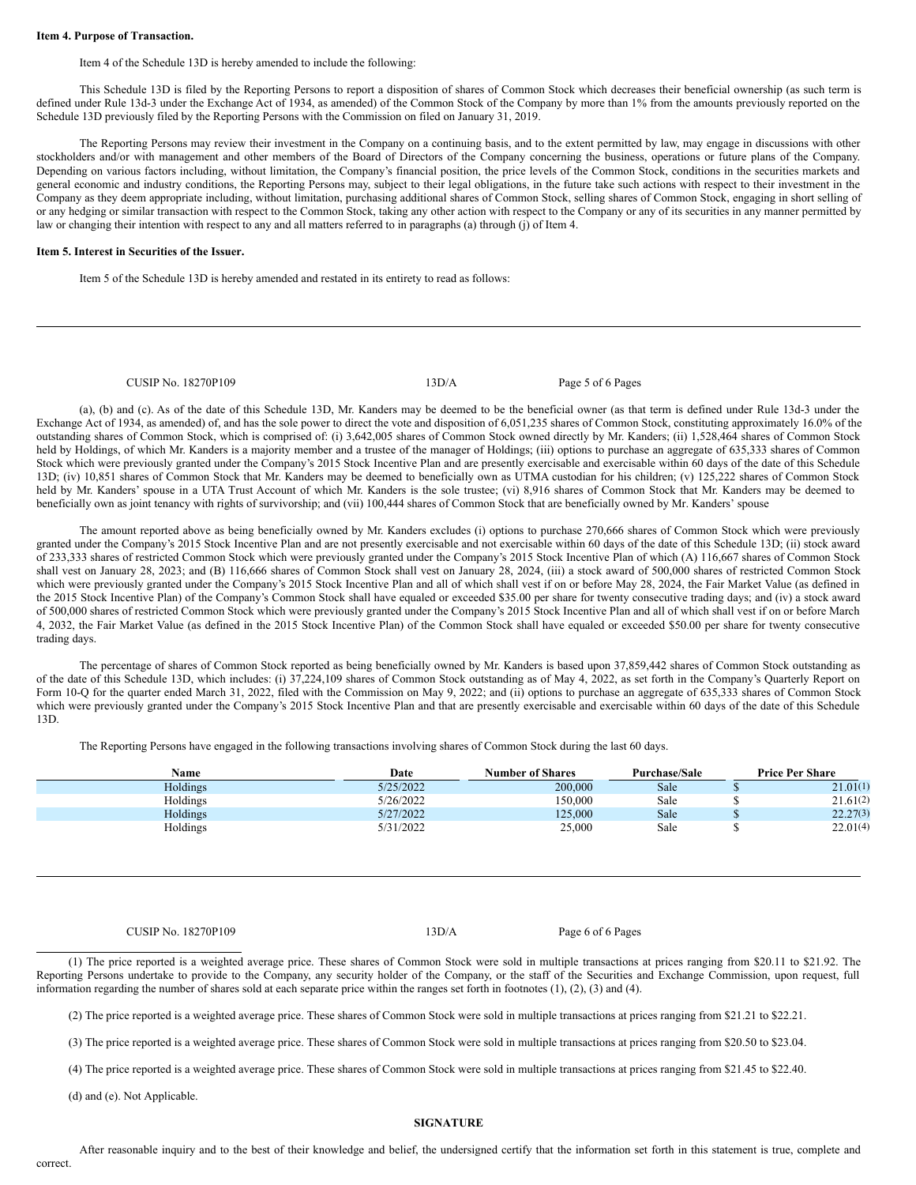### **Item 4. Purpose of Transaction.**

Item 4 of the Schedule 13D is hereby amended to include the following:

This Schedule 13D is filed by the Reporting Persons to report a disposition of shares of Common Stock which decreases their beneficial ownership (as such term is defined under Rule 13d-3 under the Exchange Act of 1934, as amended) of the Common Stock of the Company by more than 1% from the amounts previously reported on the Schedule 13D previously filed by the Reporting Persons with the Commission on filed on January 31, 2019.

The Reporting Persons may review their investment in the Company on a continuing basis, and to the extent permitted by law, may engage in discussions with other stockholders and/or with management and other members of the Board of Directors of the Company concerning the business, operations or future plans of the Company. Depending on various factors including, without limitation, the Company's financial position, the price levels of the Common Stock, conditions in the securities markets and general economic and industry conditions, the Reporting Persons may, subject to their legal obligations, in the future take such actions with respect to their investment in the Company as they deem appropriate including, without limitation, purchasing additional shares of Common Stock, selling shares of Common Stock, engaging in short selling of or any hedging or similar transaction with respect to the Common Stock, taking any other action with respect to the Company or any of its securities in any manner permitted by law or changing their intention with respect to any and all matters referred to in paragraphs (a) through (j) of Item 4.

### **Item 5. Interest in Securities of the Issuer.**

Item 5 of the Schedule 13D is hereby amended and restated in its entirety to read as follows:

CUSIP No. 18270P109 13D/A Page 5 of 6 Pages

(a), (b) and (c). As of the date of this Schedule 13D, Mr. Kanders may be deemed to be the beneficial owner (as that term is defined under Rule 13d-3 under the Exchange Act of 1934, as amended) of, and has the sole power to direct the vote and disposition of 6,051,235 shares of Common Stock, constituting approximately 16.0% of the outstanding shares of Common Stock, which is comprised of: (i) 3,642,005 shares of Common Stock owned directly by Mr. Kanders; (ii) 1,528,464 shares of Common Stock held by Holdings, of which Mr. Kanders is a majority member and a trustee of the manager of Holdings; (iii) options to purchase an aggregate of 635,333 shares of Common Stock which were previously granted under the Company's 2015 Stock Incentive Plan and are presently exercisable and exercisable within 60 days of the date of this Schedule 13D; (iv) 10,851 shares of Common Stock that Mr. Kanders may be deemed to beneficially own as UTMA custodian for his children; (v) 125,222 shares of Common Stock held by Mr. Kanders' spouse in a UTA Trust Account of which Mr. Kanders is the sole trustee; (vi) 8,916 shares of Common Stock that Mr. Kanders may be deemed to beneficially own as joint tenancy with rights of survivorship; and (vii) 100,444 shares of Common Stock that are beneficially owned by Mr. Kanders' spouse

The amount reported above as being beneficially owned by Mr. Kanders excludes (i) options to purchase 270,666 shares of Common Stock which were previously granted under the Company's 2015 Stock Incentive Plan and are not presently exercisable and not exercisable within 60 days of the date of this Schedule 13D; (ii) stock award of 233,333 shares of restricted Common Stock which were previously granted under the Company's 2015 Stock Incentive Plan of which (A) 116,667 shares of Common Stock shall vest on January 28, 2023; and (B) 116,666 shares of Common Stock shall vest on January 28, 2024, (iii) a stock award of 500,000 shares of restricted Common Stock which were previously granted under the Company's 2015 Stock Incentive Plan and all of which shall vest if on or before May 28, 2024, the Fair Market Value (as defined in the 2015 Stock Incentive Plan) of the Company's Common Stock shall have equaled or exceeded \$35.00 per share for twenty consecutive trading days; and (iv) a stock award of 500,000 shares of restricted Common Stock which were previously granted under the Company's 2015 Stock Incentive Plan and all of which shall vest if on or before March 4, 2032, the Fair Market Value (as defined in the 2015 Stock Incentive Plan) of the Common Stock shall have equaled or exceeded \$50.00 per share for twenty consecutive trading days.

The percentage of shares of Common Stock reported as being beneficially owned by Mr. Kanders is based upon 37,859,442 shares of Common Stock outstanding as of the date of this Schedule 13D, which includes: (i) 37,224,109 shares of Common Stock outstanding as of May 4, 2022, as set forth in the Company's Quarterly Report on Form 10-Q for the quarter ended March 31, 2022, filed with the Commission on May 9, 2022; and (ii) options to purchase an aggregate of 635,333 shares of Common Stock which were previously granted under the Company's 2015 Stock Incentive Plan and that are presently exercisable and exercisable within 60 days of the date of this Schedule 13D.

The Reporting Persons have engaged in the following transactions involving shares of Common Stock during the last 60 days.

| Name     | Date      | <b>Number of Shares</b> | <b>Purchase/Sale</b> | <b>Price Per Share</b> |
|----------|-----------|-------------------------|----------------------|------------------------|
| Holdings | 5/25/2022 | 200,000                 | Sale                 | 21.01(1)               |
| Holdings | 5/26/2022 | 150.000                 | Sale                 | 21.61(2)               |
| Holdings | 5/27/2022 | 125,000                 | Sale                 | 22.27(3)               |
| Holdings | 5/31/2022 | 25,000                  | Sale                 | 22.01(4)               |

CUSIP No. 18270P109 13D/A Page 6 of 6 Pages

(1) The price reported is a weighted average price. These shares of Common Stock were sold in multiple transactions at prices ranging from \$20.11 to \$21.92. The Reporting Persons undertake to provide to the Company, any security holder of the Company, or the staff of the Securities and Exchange Commission, upon request, full information regarding the number of shares sold at each separate price within the ranges set forth in footnotes (1), (2), (3) and (4).

(2) The price reported is a weighted average price. These shares of Common Stock were sold in multiple transactions at prices ranging from \$21.21 to \$22.21.

(3) The price reported is a weighted average price. These shares of Common Stock were sold in multiple transactions at prices ranging from \$20.50 to \$23.04.

(4) The price reported is a weighted average price. These shares of Common Stock were sold in multiple transactions at prices ranging from \$21.45 to \$22.40.

(d) and (e). Not Applicable.

## **SIGNATURE**

After reasonable inquiry and to the best of their knowledge and belief, the undersigned certify that the information set forth in this statement is true, complete and correct.